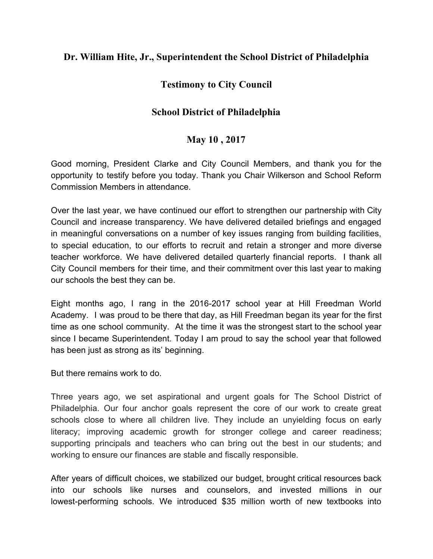#### **Dr. William Hite, Jr., Superintendent the School District of Philadelphia**

# **Testimony to City Council**

# **School District of Philadelphia**

# **May 10 , 2017**

Good morning, President Clarke and City Council Members, and thank you for the opportunity to testify before you today. Thank you Chair Wilkerson and School Reform Commission Members in attendance.

Over the last year, we have continued our effort to strengthen our partnership with City Council and increase transparency. We have delivered detailed briefings and engaged in meaningful conversations on a number of key issues ranging from building facilities, to special education, to our efforts to recruit and retain a stronger and more diverse teacher workforce. We have delivered detailed quarterly financial reports. I thank all City Council members for their time, and their commitment over this last year to making our schools the best they can be.

Eight months ago, I rang in the 2016-2017 school year at Hill Freedman World Academy. I was proud to be there that day, as Hill Freedman began its year for the first time as one school community. At the time it was the strongest start to the school year since I became Superintendent. Today I am proud to say the school year that followed has been just as strong as its' beginning.

But there remains work to do.

Three years ago, we set aspirational and urgent goals for The School District of Philadelphia. Our four anchor goals represent the core of our work to create great schools close to where all children live. They include an unyielding focus on early literacy; improving academic growth for stronger college and career readiness; supporting principals and teachers who can bring out the best in our students; and working to ensure our finances are stable and fiscally responsible.

After years of difficult choices, we stabilized our budget, brought critical resources back into our schools like nurses and counselors, and invested millions in our lowest-performing schools. We introduced \$35 million worth of new textbooks into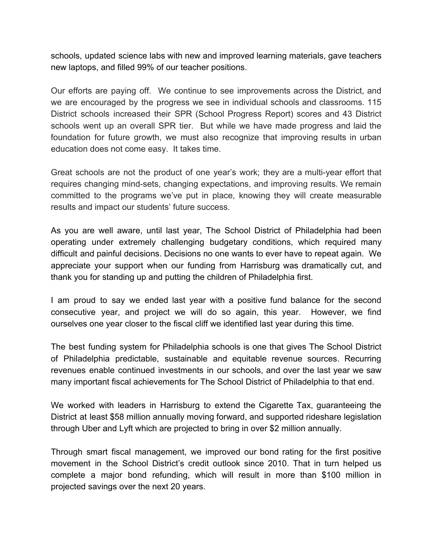schools, updated science labs with new and improved learning materials, gave teachers new laptops, and filled 99% of our teacher positions.

Our efforts are paying off. We continue to see improvements across the District, and we are encouraged by the progress we see in individual schools and classrooms. 115 District schools increased their SPR (School Progress Report) scores and 43 District schools went up an overall SPR tier. But while we have made progress and laid the foundation for future growth, we must also recognize that improving results in urban education does not come easy. It takes time.

Great schools are not the product of one year's work; they are a multi-year effort that requires changing mind-sets, changing expectations, and improving results. We remain committed to the programs we've put in place, knowing they will create measurable results and impact our students' future success.

As you are well aware, until last year, The School District of Philadelphia had been operating under extremely challenging budgetary conditions, which required many difficult and painful decisions. Decisions no one wants to ever have to repeat again. We appreciate your support when our funding from Harrisburg was dramatically cut, and thank you for standing up and putting the children of Philadelphia first.

I am proud to say we ended last year with a positive fund balance for the second consecutive year, and project we will do so again, this year. However, we find ourselves one year closer to the fiscal cliff we identified last year during this time.

The best funding system for Philadelphia schools is one that gives The School District of Philadelphia predictable, sustainable and equitable revenue sources. Recurring revenues enable continued investments in our schools, and over the last year we saw many important fiscal achievements for The School District of Philadelphia to that end.

We worked with leaders in Harrisburg to extend the Cigarette Tax, guaranteeing the District at least \$58 million annually moving forward, and supported rideshare legislation through Uber and Lyft which are projected to bring in over \$2 million annually.

Through smart fiscal management, we improved our bond rating for the first positive movement in the School District's credit outlook since 2010. That in turn helped us complete a major bond refunding, which will result in more than \$100 million in projected savings over the next 20 years.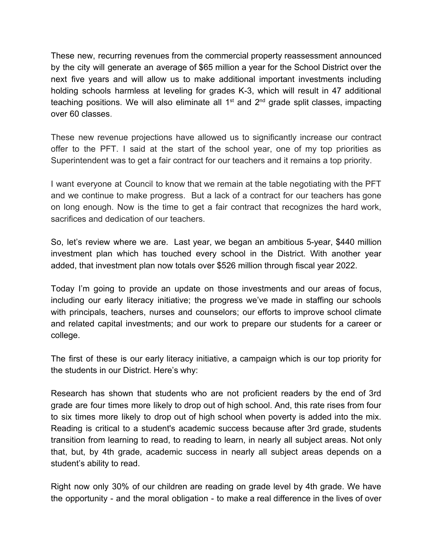These new, recurring revenues from the commercial property reassessment announced by the city will generate an average of \$65 million a year for the School District over the next five years and will allow us to make additional important investments including holding schools harmless at leveling for grades K-3, which will result in 47 additional teaching positions. We will also eliminate all 1<sup>st</sup> and 2<sup>nd</sup> grade split classes, impacting over 60 classes.

These new revenue projections have allowed us to significantly increase our contract offer to the PFT. I said at the start of the school year, one of my top priorities as Superintendent was to get a fair contract for our teachers and it remains a top priority.

I want everyone at Council to know that we remain at the table negotiating with the PFT and we continue to make progress. But a lack of a contract for our teachers has gone on long enough. Now is the time to get a fair contract that recognizes the hard work, sacrifices and dedication of our teachers.

So, let's review where we are. Last year, we began an ambitious 5-year, \$440 million investment plan which has touched every school in the District. With another year added, that investment plan now totals over \$526 million through fiscal year 2022.

Today I'm going to provide an update on those investments and our areas of focus, including our early literacy initiative; the progress we've made in staffing our schools with principals, teachers, nurses and counselors; our efforts to improve school climate and related capital investments; and our work to prepare our students for a career or college.

The first of these is our early literacy initiative, a campaign which is our top priority for the students in our District. Here's why:

Research has shown that students who are not proficient readers by the end of 3rd grade are four times more likely to drop out of high school. And, this rate rises from four to six times more likely to drop out of high school when poverty is added into the mix. Reading is critical to a student's academic success because after 3rd grade, students transition from learning to read, to reading to learn, in nearly all subject areas. Not only that, but, by 4th grade, academic success in nearly all subject areas depends on a student's ability to read.

Right now only 30% of our children are reading on grade level by 4th grade. We have the opportunity - and the moral obligation - to make a real difference in the lives of over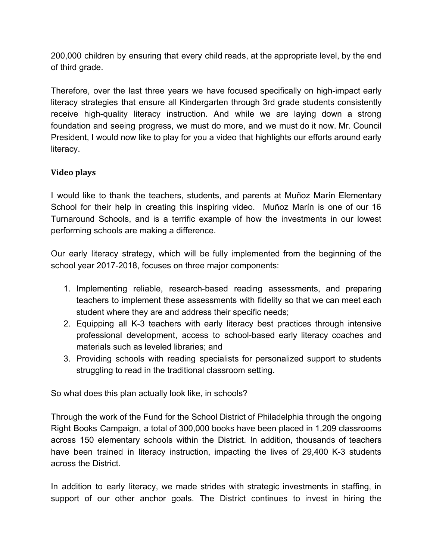200,000 children by ensuring that every child reads, at the appropriate level, by the end of third grade.

Therefore, over the last three years we have focused specifically on high-impact early literacy strategies that ensure all Kindergarten through 3rd grade students consistently receive high-quality literacy instruction. And while we are laying down a strong foundation and seeing progress, we must do more, and we must do it now. Mr. Council President, I would now like to play for you a video that highlights our efforts around early literacy.

#### **Video plays**

I would like to thank the teachers, students, and parents at Muñoz Marín Elementary School for their help in creating this inspiring video. Muñoz Marín is one of our 16 Turnaround Schools, and is a terrific example of how the investments in our lowest performing schools are making a difference.

Our early literacy strategy, which will be fully implemented from the beginning of the school year 2017-2018, focuses on three major components:

- 1. Implementing reliable, research-based reading assessments, and preparing teachers to implement these assessments with fidelity so that we can meet each student where they are and address their specific needs;
- 2. Equipping all K-3 teachers with early literacy best practices through intensive professional development, access to school-based early literacy coaches and materials such as leveled libraries; and
- 3. Providing schools with reading specialists for personalized support to students struggling to read in the traditional classroom setting.

So what does this plan actually look like, in schools?

Through the work of the Fund for the School District of Philadelphia through the ongoing Right Books Campaign, a total of 300,000 books have been placed in 1,209 classrooms across 150 elementary schools within the District. In addition, thousands of teachers have been trained in literacy instruction, impacting the lives of 29,400 K-3 students across the District.

In addition to early literacy, we made strides with strategic investments in staffing, in support of our other anchor goals. The District continues to invest in hiring the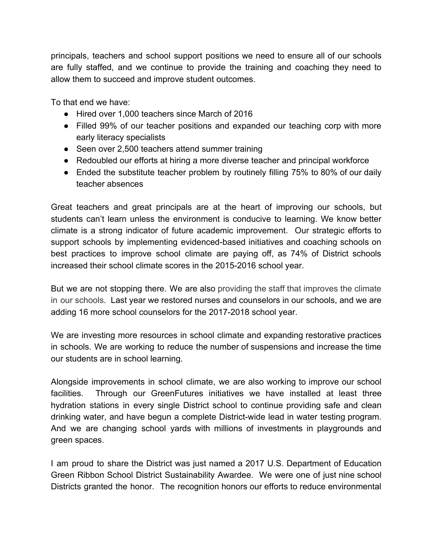principals, teachers and school support positions we need to ensure all of our schools are fully staffed, and we continue to provide the training and coaching they need to allow them to succeed and improve student outcomes.

To that end we have:

- Hired over 1,000 teachers since March of 2016
- Filled 99% of our teacher positions and expanded our teaching corp with more early literacy specialists
- Seen over 2,500 teachers attend summer training
- Redoubled our efforts at hiring a more diverse teacher and principal workforce
- Ended the substitute teacher problem by routinely filling 75% to 80% of our daily teacher absences

Great teachers and great principals are at the heart of improving our schools, but students can't learn unless the environment is conducive to learning. We know better climate is a strong indicator of future academic improvement. Our strategic efforts to support schools by implementing evidenced-based initiatives and coaching schools on best practices to improve school climate are paying off, as 74% of District schools increased their school climate scores in the 2015-2016 school year.

But we are not stopping there. We are also providing the staff that improves the climate in our schools . Last year we restored nurses and counselors in our schools, and we are adding 16 more school counselors for the 2017-2018 school year.

We are investing more resources in school climate and expanding restorative practices in schools. We are working to reduce the number of suspensions and increase the time our students are in school learning.

Alongside improvements in school climate, we are also working to improve our school facilities. Through our GreenFutures initiatives we have installed at least three hydration stations in every single District school to continue providing safe and clean drinking water, and have begun a complete District-wide lead in water testing program. And we are changing school yards with millions of investments in playgrounds and green spaces.

I am proud to share the District was just named a 2017 U.S. Department of Education Green Ribbon School District Sustainability Awardee. We were one of just nine school Districts granted the honor. The recognition honors our efforts to reduce environmental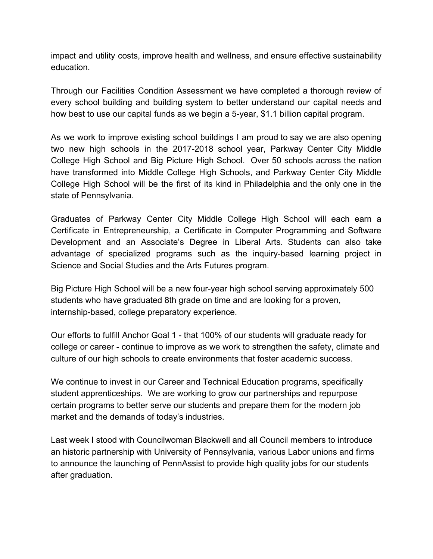impact and utility costs, improve health and wellness, and ensure effective sustainability education.

Through our Facilities Condition Assessment we have completed a thorough review of every school building and building system to better understand our capital needs and how best to use our capital funds as we begin a 5-year, \$1.1 billion capital program.

As we work to improve existing school buildings I am proud to say we are also opening two new high schools in the 2017-2018 school year, Parkway Center City Middle College High School and Big Picture High School. Over 50 schools across the nation have transformed into Middle College High Schools, and Parkway Center City Middle College High School will be the first of its kind in Philadelphia and the only one in the state of Pennsylvania.

Graduates of Parkway Center City Middle College High School will each earn a Certificate in Entrepreneurship, a Certificate in Computer Programming and Software Development and an Associate's Degree in Liberal Arts. Students can also take advantage of specialized programs such as the inquiry-based learning project in Science and Social Studies and the Arts Futures program.

Big Picture High School will be a new four-year high school serving approximately 500 students who have graduated 8th grade on time and are looking for a proven, internship-based, college preparatory experience.

Our efforts to fulfill Anchor Goal 1 - that 100% of our students will graduate ready for college or career - continue to improve as we work to strengthen the safety, climate and culture of our high schools to create environments that foster academic success.

We continue to invest in our Career and Technical Education programs, specifically student apprenticeships. We are working to grow our partnerships and repurpose certain programs to better serve our students and prepare them for the modern job market and the demands of today's industries.

Last week I stood with Councilwoman Blackwell and all Council members to introduce an historic partnership with University of Pennsylvania, various Labor unions and firms to announce the launching of PennAssist to provide high quality jobs for our students after graduation.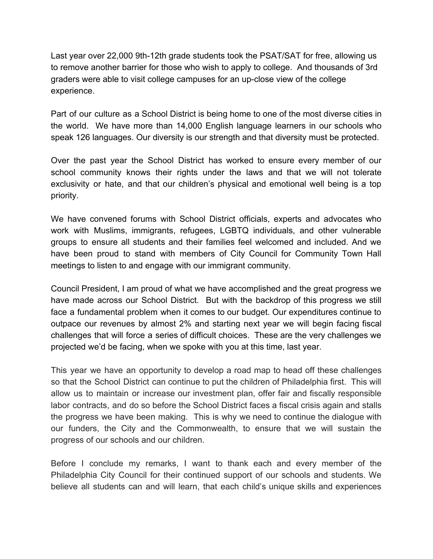Last year over 22,000 9th-12th grade students took the PSAT/SAT for free, allowing us to remove another barrier for those who wish to apply to college. And thousands of 3rd graders were able to visit college campuses for an up-close view of the college experience.

Part of our culture as a School District is being home to one of the most diverse cities in the world. We have more than 14,000 English language learners in our schools who speak 126 languages. Our diversity is our strength and that diversity must be protected.

Over the past year the School District has worked to ensure every member of our school community knows their rights under the laws and that we will not tolerate exclusivity or hate, and that our children's physical and emotional well being is a top priority.

We have convened forums with School District officials, experts and advocates who work with Muslims, immigrants, refugees, LGBTQ individuals, and other vulnerable groups to ensure all students and their families feel welcomed and included. And we have been proud to stand with members of City Council for Community Town Hall meetings to listen to and engage with our immigrant community.

Council President, I am proud of what we have accomplished and the great progress we have made across our School District. But with the backdrop of this progress we still face a fundamental problem when it comes to our budget. Our expenditures continue to outpace our revenues by almost 2% and starting next year we will begin facing fiscal challenges that will force a series of difficult choices. These are the very challenges we projected we'd be facing, when we spoke with you at this time, last year.

This year we have an opportunity to develop a road map to head off these challenges so that the School District can continue to put the children of Philadelphia first. This will allow us to maintain or increase our investment plan, offer fair and fiscally responsible labor contracts, and do so before the School District faces a fiscal crisis again and stalls the progress we have been making. This is why we need to continue the dialogue with our funders, the City and the Commonwealth, to ensure that we will sustain the progress of our schools and our children.

Before I conclude my remarks, I want to thank each and every member of the Philadelphia City Council for their continued support of our schools and students. We believe all students can and will learn, that each child's unique skills and experiences